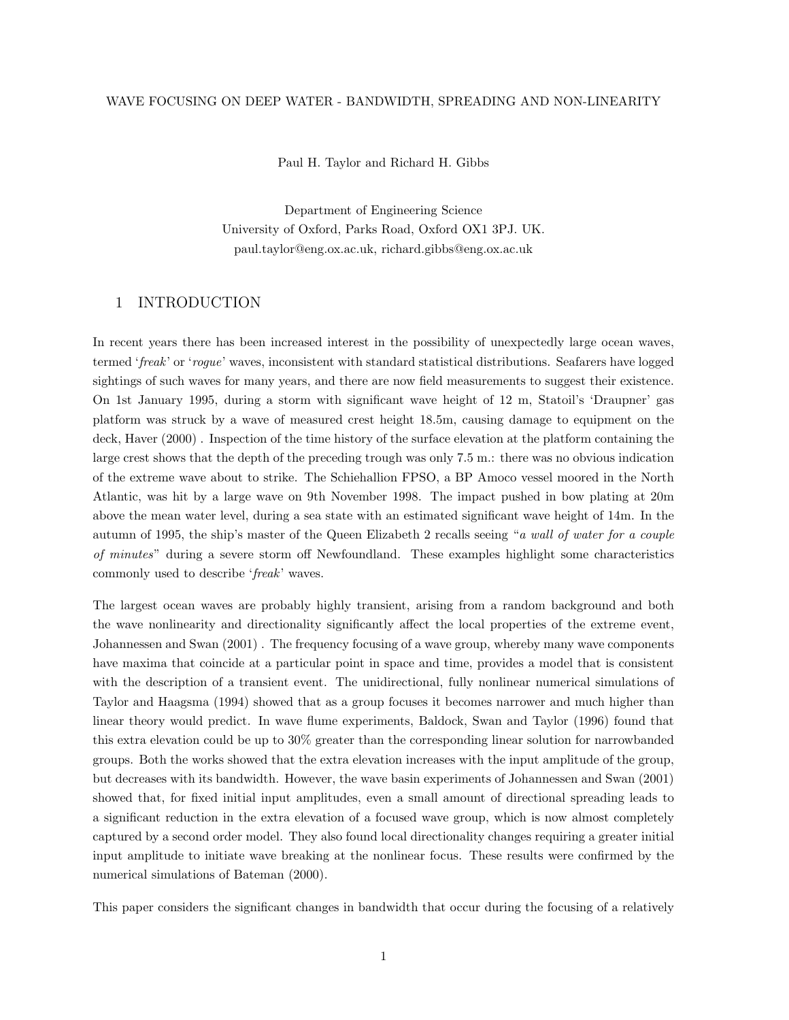#### WAVE FOCUSING ON DEEP WATER - BANDWIDTH, SPREADING AND NON-LINEARITY

Paul H. Taylor and Richard H. Gibbs

Department of Engineering Science University of Oxford, Parks Road, Oxford OX1 3PJ. UK. paul.taylor@eng.ox.ac.uk, richard.gibbs@eng.ox.ac.uk

#### 1 INTRODUCTION

In recent years there has been increased interest in the possibility of unexpectedly large ocean waves, termed 'freak' or 'rogue' waves, inconsistent with standard statistical distributions. Seafarers have logged sightings of such waves for many years, and there are now field measurements to suggest their existence. On 1st January 1995, during a storm with significant wave height of 12 m, Statoil's 'Draupner' gas platform was struck by a wave of measured crest height 18.5m, causing damage to equipment on the deck, Haver (2000) . Inspection of the time history of the surface elevation at the platform containing the large crest shows that the depth of the preceding trough was only 7.5 m.: there was no obvious indication of the extreme wave about to strike. The Schiehallion FPSO, a BP Amoco vessel moored in the North Atlantic, was hit by a large wave on 9th November 1998. The impact pushed in bow plating at 20m above the mean water level, during a sea state with an estimated significant wave height of 14m. In the autumn of 1995, the ship's master of the Queen Elizabeth 2 recalls seeing "a wall of water for a couple of minutes" during a severe storm off Newfoundland. These examples highlight some characteristics commonly used to describe 'freak' waves.

The largest ocean waves are probably highly transient, arising from a random background and both the wave nonlinearity and directionality significantly affect the local properties of the extreme event, Johannessen and Swan (2001) . The frequency focusing of a wave group, whereby many wave components have maxima that coincide at a particular point in space and time, provides a model that is consistent with the description of a transient event. The unidirectional, fully nonlinear numerical simulations of Taylor and Haagsma (1994) showed that as a group focuses it becomes narrower and much higher than linear theory would predict. In wave flume experiments, Baldock, Swan and Taylor (1996) found that this extra elevation could be up to 30% greater than the corresponding linear solution for narrowbanded groups. Both the works showed that the extra elevation increases with the input amplitude of the group, but decreases with its bandwidth. However, the wave basin experiments of Johannessen and Swan (2001) showed that, for fixed initial input amplitudes, even a small amount of directional spreading leads to a significant reduction in the extra elevation of a focused wave group, which is now almost completely captured by a second order model. They also found local directionality changes requiring a greater initial input amplitude to initiate wave breaking at the nonlinear focus. These results were confirmed by the numerical simulations of Bateman (2000).

This paper considers the significant changes in bandwidth that occur during the focusing of a relatively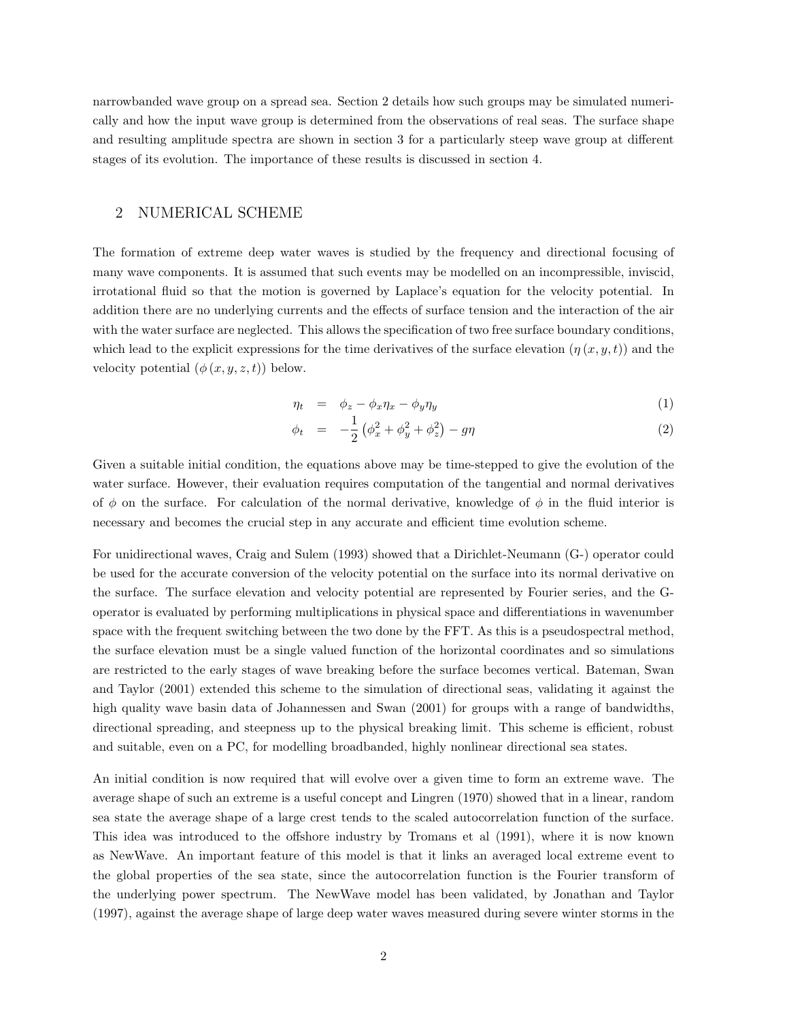narrowbanded wave group on a spread sea. Section 2 details how such groups may be simulated numerically and how the input wave group is determined from the observations of real seas. The surface shape and resulting amplitude spectra are shown in section 3 for a particularly steep wave group at different stages of its evolution. The importance of these results is discussed in section 4.

## 2 NUMERICAL SCHEME

The formation of extreme deep water waves is studied by the frequency and directional focusing of many wave components. It is assumed that such events may be modelled on an incompressible, inviscid, irrotational fluid so that the motion is governed by Laplace's equation for the velocity potential. In addition there are no underlying currents and the effects of surface tension and the interaction of the air with the water surface are neglected. This allows the specification of two free surface boundary conditions, which lead to the explicit expressions for the time derivatives of the surface elevation  $(\eta(x, y, t))$  and the velocity potential  $(\phi(x, y, z, t))$  below.

$$
\eta_t = \phi_z - \phi_x \eta_x - \phi_y \eta_y \tag{1}
$$

$$
\phi_t = -\frac{1}{2} \left( \phi_x^2 + \phi_y^2 + \phi_z^2 \right) - g\eta \tag{2}
$$

Given a suitable initial condition, the equations above may be time-stepped to give the evolution of the water surface. However, their evaluation requires computation of the tangential and normal derivatives of  $\phi$  on the surface. For calculation of the normal derivative, knowledge of  $\phi$  in the fluid interior is necessary and becomes the crucial step in any accurate and efficient time evolution scheme.

For unidirectional waves, Craig and Sulem (1993) showed that a Dirichlet-Neumann (G-) operator could be used for the accurate conversion of the velocity potential on the surface into its normal derivative on the surface. The surface elevation and velocity potential are represented by Fourier series, and the Goperator is evaluated by performing multiplications in physical space and differentiations in wavenumber space with the frequent switching between the two done by the FFT. As this is a pseudospectral method, the surface elevation must be a single valued function of the horizontal coordinates and so simulations are restricted to the early stages of wave breaking before the surface becomes vertical. Bateman, Swan and Taylor (2001) extended this scheme to the simulation of directional seas, validating it against the high quality wave basin data of Johannessen and Swan (2001) for groups with a range of bandwidths, directional spreading, and steepness up to the physical breaking limit. This scheme is efficient, robust and suitable, even on a PC, for modelling broadbanded, highly nonlinear directional sea states.

An initial condition is now required that will evolve over a given time to form an extreme wave. The average shape of such an extreme is a useful concept and Lingren (1970) showed that in a linear, random sea state the average shape of a large crest tends to the scaled autocorrelation function of the surface. This idea was introduced to the offshore industry by Tromans et al (1991), where it is now known as NewWave. An important feature of this model is that it links an averaged local extreme event to the global properties of the sea state, since the autocorrelation function is the Fourier transform of the underlying power spectrum. The NewWave model has been validated, by Jonathan and Taylor (1997), against the average shape of large deep water waves measured during severe winter storms in the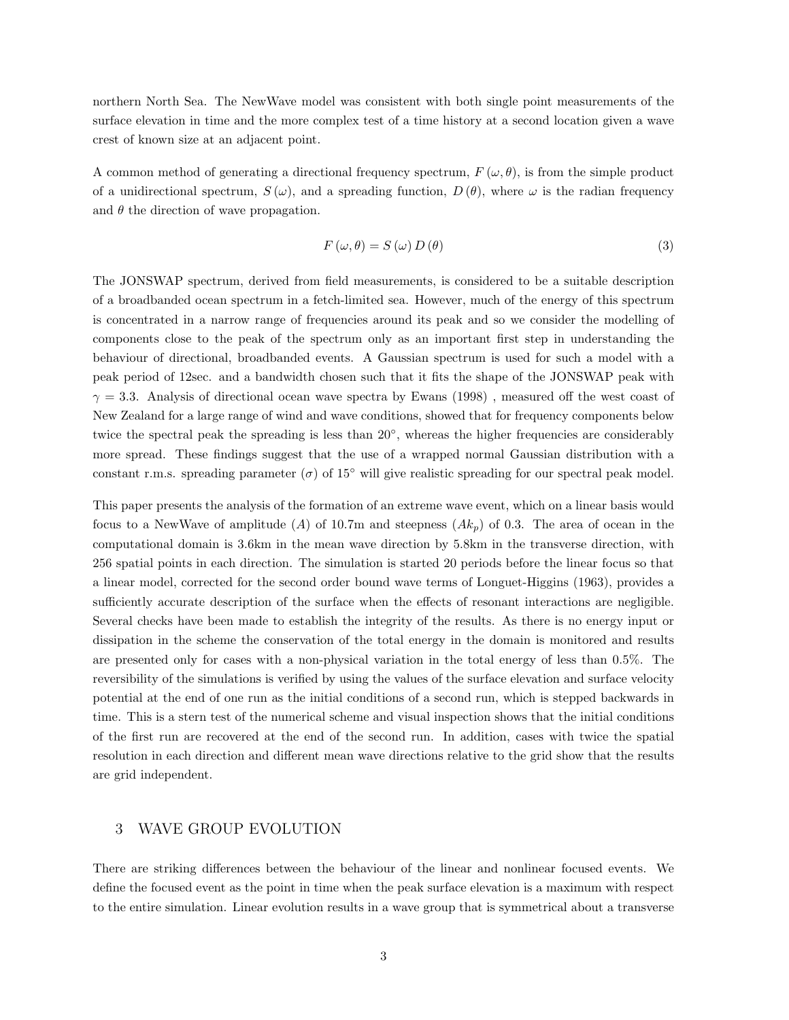northern North Sea. The NewWave model was consistent with both single point measurements of the surface elevation in time and the more complex test of a time history at a second location given a wave crest of known size at an adjacent point.

A common method of generating a directional frequency spectrum,  $F(\omega, \theta)$ , is from the simple product of a unidirectional spectrum,  $S(\omega)$ , and a spreading function,  $D(\theta)$ , where  $\omega$  is the radian frequency and  $\theta$  the direction of wave propagation.

$$
F(\omega, \theta) = S(\omega) D(\theta)
$$
\n(3)

The JONSWAP spectrum, derived from field measurements, is considered to be a suitable description of a broadbanded ocean spectrum in a fetch-limited sea. However, much of the energy of this spectrum is concentrated in a narrow range of frequencies around its peak and so we consider the modelling of components close to the peak of the spectrum only as an important first step in understanding the behaviour of directional, broadbanded events. A Gaussian spectrum is used for such a model with a peak period of 12sec. and a bandwidth chosen such that it fits the shape of the JONSWAP peak with  $\gamma = 3.3$ . Analysis of directional ocean wave spectra by Ewans (1998), measured off the west coast of New Zealand for a large range of wind and wave conditions, showed that for frequency components below twice the spectral peak the spreading is less than 20°, whereas the higher frequencies are considerably more spread. These findings suggest that the use of a wrapped normal Gaussian distribution with a constant r.m.s. spreading parameter  $(\sigma)$  of 15<sup>°</sup> will give realistic spreading for our spectral peak model.

This paper presents the analysis of the formation of an extreme wave event, which on a linear basis would focus to a NewWave of amplitude (A) of 10.7m and steepness  $(Ak_p)$  of 0.3. The area of ocean in the computational domain is 3.6km in the mean wave direction by 5.8km in the transverse direction, with 256 spatial points in each direction. The simulation is started 20 periods before the linear focus so that a linear model, corrected for the second order bound wave terms of Longuet-Higgins (1963), provides a sufficiently accurate description of the surface when the effects of resonant interactions are negligible. Several checks have been made to establish the integrity of the results. As there is no energy input or dissipation in the scheme the conservation of the total energy in the domain is monitored and results are presented only for cases with a non-physical variation in the total energy of less than 0.5%. The reversibility of the simulations is verified by using the values of the surface elevation and surface velocity potential at the end of one run as the initial conditions of a second run, which is stepped backwards in time. This is a stern test of the numerical scheme and visual inspection shows that the initial conditions of the first run are recovered at the end of the second run. In addition, cases with twice the spatial resolution in each direction and different mean wave directions relative to the grid show that the results are grid independent.

# 3 WAVE GROUP EVOLUTION

There are striking differences between the behaviour of the linear and nonlinear focused events. We define the focused event as the point in time when the peak surface elevation is a maximum with respect to the entire simulation. Linear evolution results in a wave group that is symmetrical about a transverse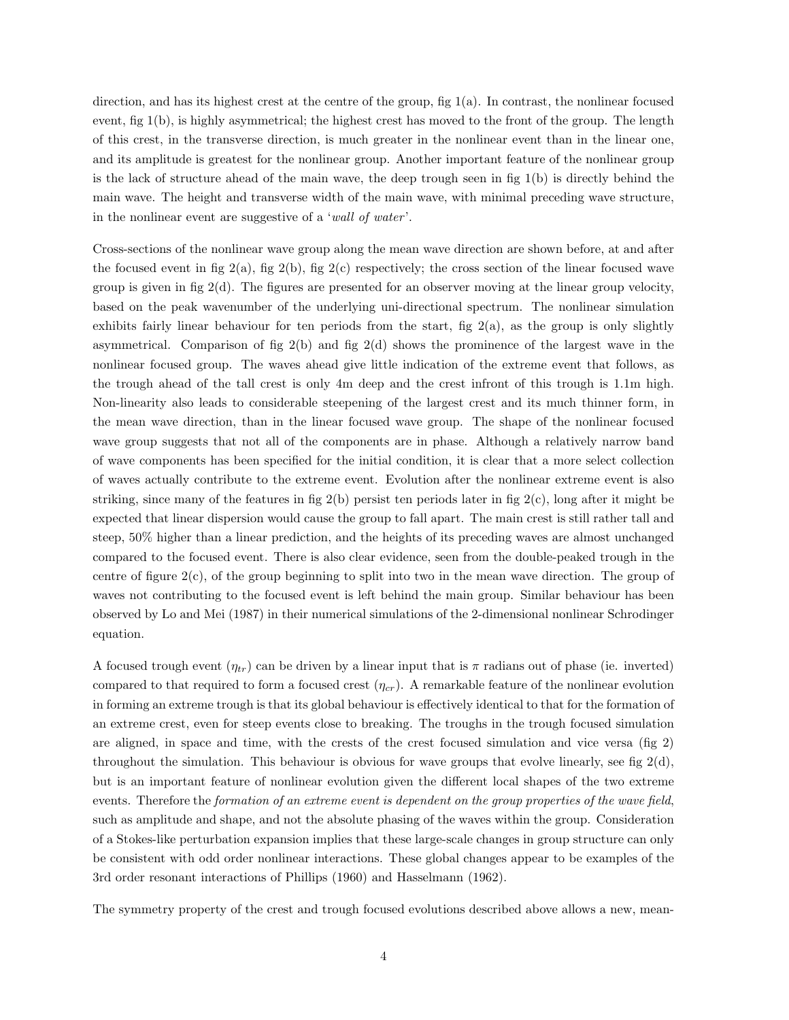direction, and has its highest crest at the centre of the group, fig 1(a). In contrast, the nonlinear focused event, fig 1(b), is highly asymmetrical; the highest crest has moved to the front of the group. The length of this crest, in the transverse direction, is much greater in the nonlinear event than in the linear one, and its amplitude is greatest for the nonlinear group. Another important feature of the nonlinear group is the lack of structure ahead of the main wave, the deep trough seen in fig  $1(b)$  is directly behind the main wave. The height and transverse width of the main wave, with minimal preceding wave structure, in the nonlinear event are suggestive of a 'wall of water '.

Cross-sections of the nonlinear wave group along the mean wave direction are shown before, at and after the focused event in fig  $2(a)$ , fig  $2(b)$ , fig  $2(c)$  respectively; the cross section of the linear focused wave group is given in fig  $2(d)$ . The figures are presented for an observer moving at the linear group velocity, based on the peak wavenumber of the underlying uni-directional spectrum. The nonlinear simulation exhibits fairly linear behaviour for ten periods from the start, fig  $2(a)$ , as the group is only slightly asymmetrical. Comparison of fig  $2(b)$  and fig  $2(d)$  shows the prominence of the largest wave in the nonlinear focused group. The waves ahead give little indication of the extreme event that follows, as the trough ahead of the tall crest is only 4m deep and the crest infront of this trough is 1.1m high. Non-linearity also leads to considerable steepening of the largest crest and its much thinner form, in the mean wave direction, than in the linear focused wave group. The shape of the nonlinear focused wave group suggests that not all of the components are in phase. Although a relatively narrow band of wave components has been specified for the initial condition, it is clear that a more select collection of waves actually contribute to the extreme event. Evolution after the nonlinear extreme event is also striking, since many of the features in fig 2(b) persist ten periods later in fig 2(c), long after it might be expected that linear dispersion would cause the group to fall apart. The main crest is still rather tall and steep, 50% higher than a linear prediction, and the heights of its preceding waves are almost unchanged compared to the focused event. There is also clear evidence, seen from the double-peaked trough in the centre of figure  $2(c)$ , of the group beginning to split into two in the mean wave direction. The group of waves not contributing to the focused event is left behind the main group. Similar behaviour has been observed by Lo and Mei (1987) in their numerical simulations of the 2-dimensional nonlinear Schrodinger equation.

A focused trough event  $(\eta_{tr})$  can be driven by a linear input that is  $\pi$  radians out of phase (ie. inverted) compared to that required to form a focused crest  $(\eta_{cr})$ . A remarkable feature of the nonlinear evolution in forming an extreme trough is that its global behaviour is effectively identical to that for the formation of an extreme crest, even for steep events close to breaking. The troughs in the trough focused simulation are aligned, in space and time, with the crests of the crest focused simulation and vice versa (fig 2) throughout the simulation. This behaviour is obvious for wave groups that evolve linearly, see fig  $2(d)$ , but is an important feature of nonlinear evolution given the different local shapes of the two extreme events. Therefore the *formation of an extreme event is dependent on the group properties of the wave field*, such as amplitude and shape, and not the absolute phasing of the waves within the group. Consideration of a Stokes-like perturbation expansion implies that these large-scale changes in group structure can only be consistent with odd order nonlinear interactions. These global changes appear to be examples of the 3rd order resonant interactions of Phillips (1960) and Hasselmann (1962).

The symmetry property of the crest and trough focused evolutions described above allows a new, mean-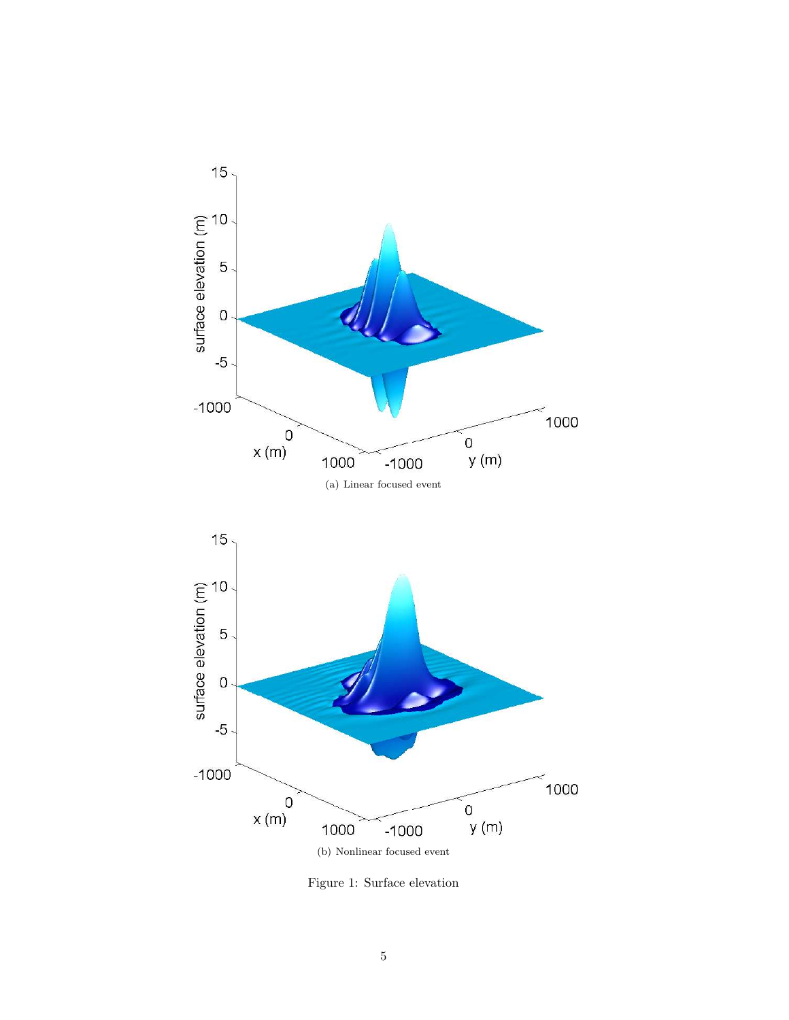

Figure 1: Surface elevation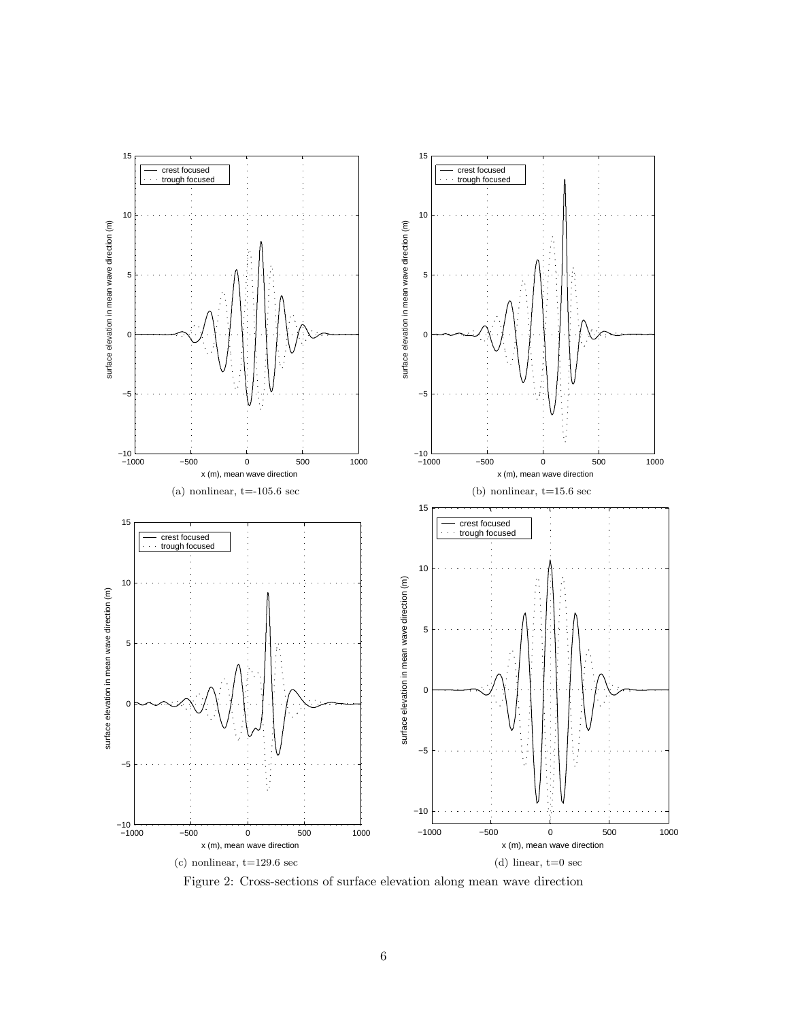

Figure 2: Cross-sections of surface elevation along mean wave direction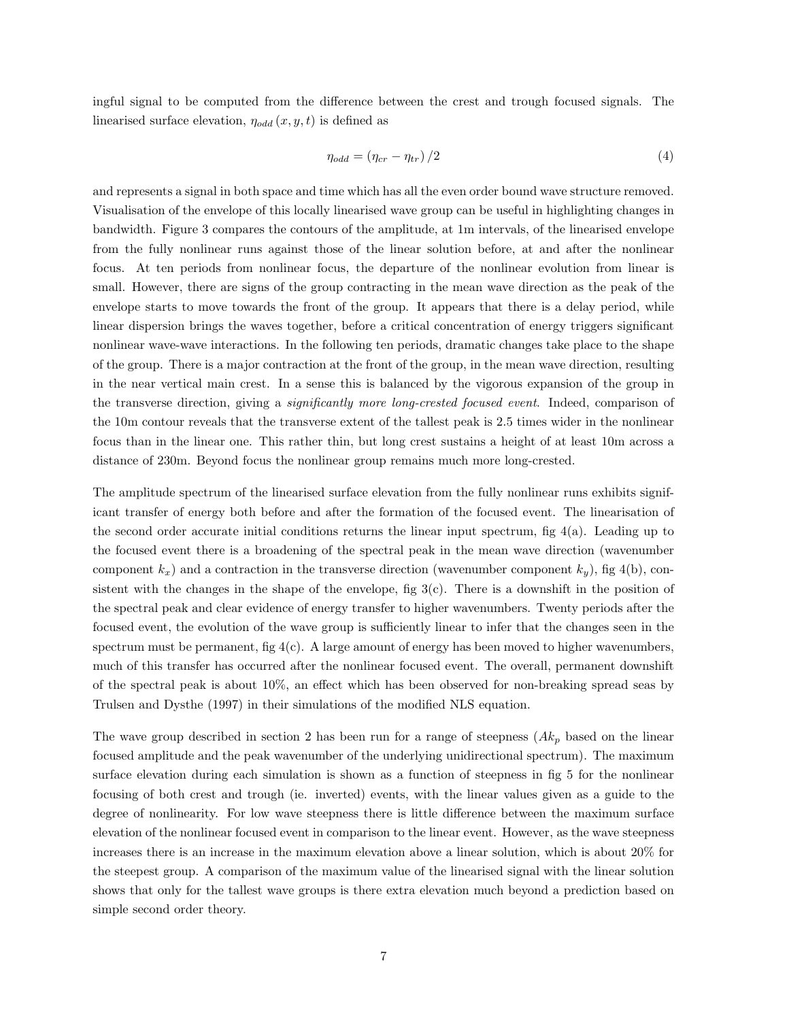ingful signal to be computed from the difference between the crest and trough focused signals. The linearised surface elevation,  $\eta_{odd}(x, y, t)$  is defined as

$$
\eta_{odd} = \left(\eta_{cr} - \eta_{tr}\right)/2\tag{4}
$$

and represents a signal in both space and time which has all the even order bound wave structure removed. Visualisation of the envelope of this locally linearised wave group can be useful in highlighting changes in bandwidth. Figure 3 compares the contours of the amplitude, at 1m intervals, of the linearised envelope from the fully nonlinear runs against those of the linear solution before, at and after the nonlinear focus. At ten periods from nonlinear focus, the departure of the nonlinear evolution from linear is small. However, there are signs of the group contracting in the mean wave direction as the peak of the envelope starts to move towards the front of the group. It appears that there is a delay period, while linear dispersion brings the waves together, before a critical concentration of energy triggers significant nonlinear wave-wave interactions. In the following ten periods, dramatic changes take place to the shape of the group. There is a major contraction at the front of the group, in the mean wave direction, resulting in the near vertical main crest. In a sense this is balanced by the vigorous expansion of the group in the transverse direction, giving a significantly more long-crested focused event. Indeed, comparison of the 10m contour reveals that the transverse extent of the tallest peak is 2.5 times wider in the nonlinear focus than in the linear one. This rather thin, but long crest sustains a height of at least 10m across a distance of 230m. Beyond focus the nonlinear group remains much more long-crested.

The amplitude spectrum of the linearised surface elevation from the fully nonlinear runs exhibits significant transfer of energy both before and after the formation of the focused event. The linearisation of the second order accurate initial conditions returns the linear input spectrum, fig 4(a). Leading up to the focused event there is a broadening of the spectral peak in the mean wave direction (wavenumber component  $k_x$ ) and a contraction in the transverse direction (wavenumber component  $k_y$ ), fig 4(b), consistent with the changes in the shape of the envelope, fig  $3(c)$ . There is a downshift in the position of the spectral peak and clear evidence of energy transfer to higher wavenumbers. Twenty periods after the focused event, the evolution of the wave group is sufficiently linear to infer that the changes seen in the spectrum must be permanent, fig  $4(c)$ . A large amount of energy has been moved to higher wavenumbers, much of this transfer has occurred after the nonlinear focused event. The overall, permanent downshift of the spectral peak is about 10%, an effect which has been observed for non-breaking spread seas by Trulsen and Dysthe (1997) in their simulations of the modified NLS equation.

The wave group described in section 2 has been run for a range of steepness  $(Ak_p)$  based on the linear focused amplitude and the peak wavenumber of the underlying unidirectional spectrum). The maximum surface elevation during each simulation is shown as a function of steepness in fig 5 for the nonlinear focusing of both crest and trough (ie. inverted) events, with the linear values given as a guide to the degree of nonlinearity. For low wave steepness there is little difference between the maximum surface elevation of the nonlinear focused event in comparison to the linear event. However, as the wave steepness increases there is an increase in the maximum elevation above a linear solution, which is about 20% for the steepest group. A comparison of the maximum value of the linearised signal with the linear solution shows that only for the tallest wave groups is there extra elevation much beyond a prediction based on simple second order theory.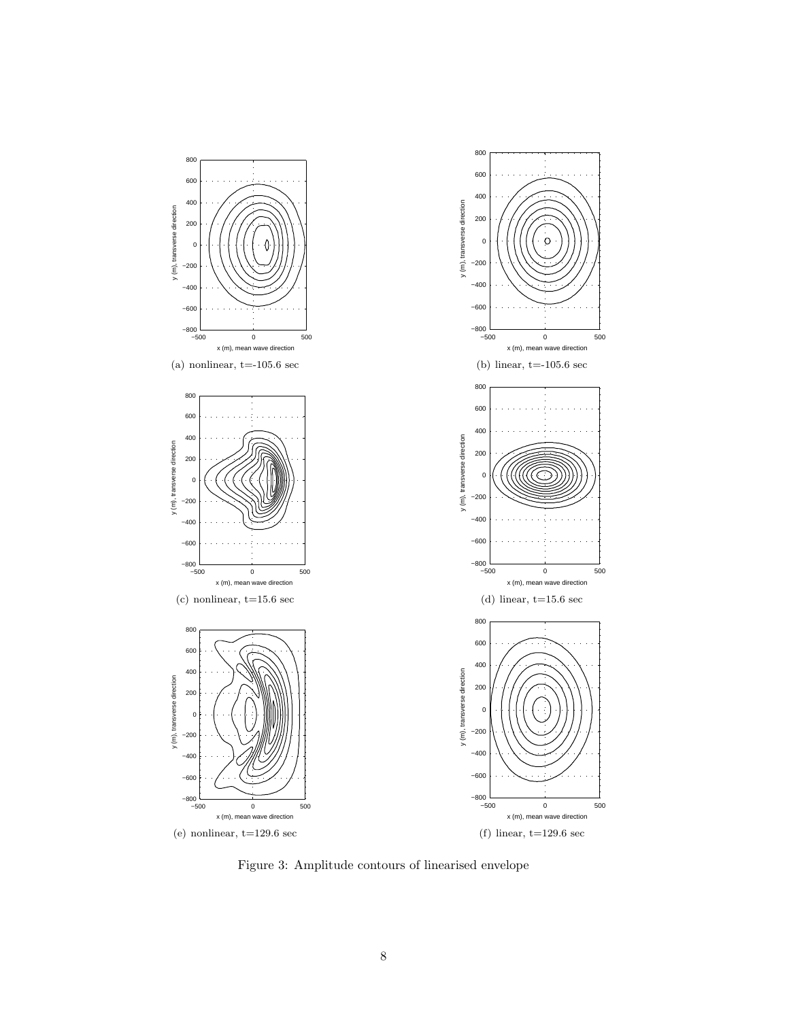

Figure 3: Amplitude contours of linearised envelope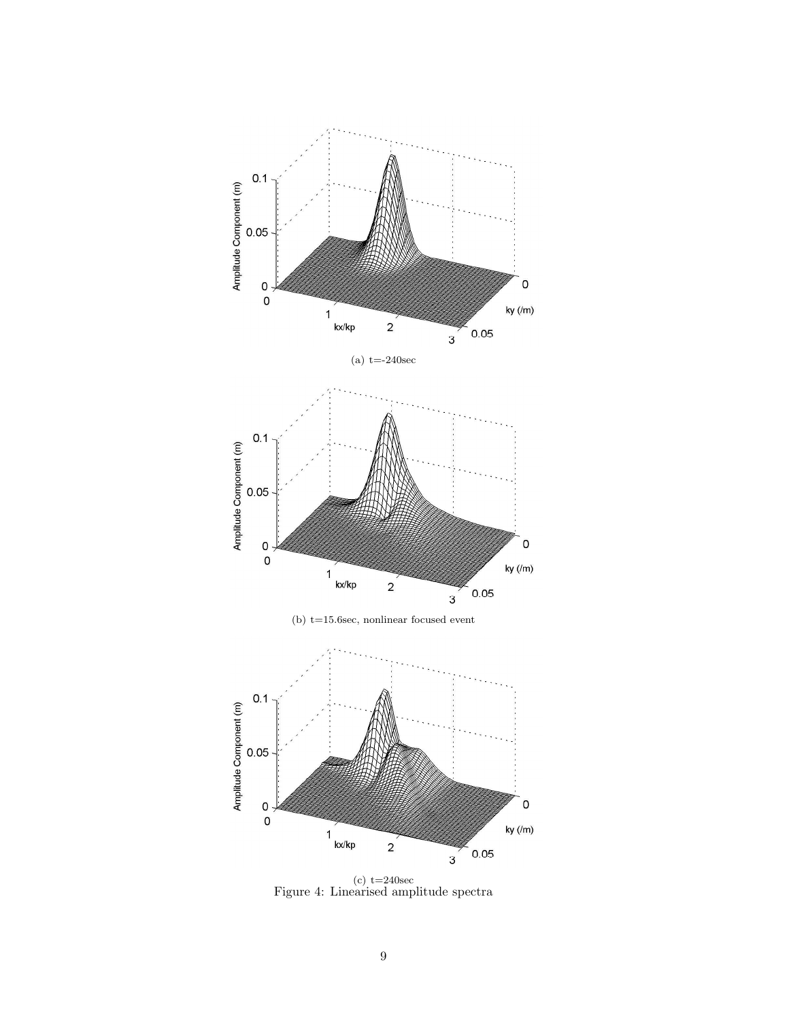

 $(c)$  t=240sec Figure 4: Linearised amplitude spectra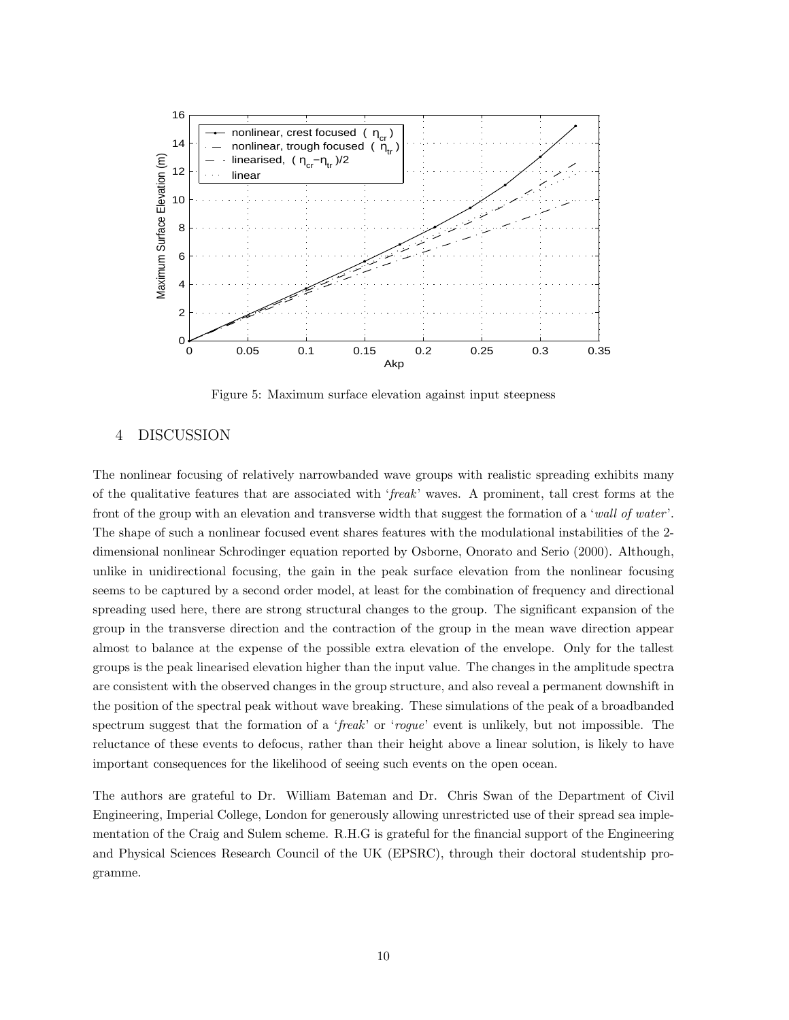

Figure 5: Maximum surface elevation against input steepness

#### 4 DISCUSSION

The nonlinear focusing of relatively narrowbanded wave groups with realistic spreading exhibits many of the qualitative features that are associated with 'freak' waves. A prominent, tall crest forms at the front of the group with an elevation and transverse width that suggest the formation of a 'wall of water '. The shape of such a nonlinear focused event shares features with the modulational instabilities of the 2 dimensional nonlinear Schrodinger equation reported by Osborne, Onorato and Serio (2000). Although, unlike in unidirectional focusing, the gain in the peak surface elevation from the nonlinear focusing seems to be captured by a second order model, at least for the combination of frequency and directional spreading used here, there are strong structural changes to the group. The significant expansion of the group in the transverse direction and the contraction of the group in the mean wave direction appear almost to balance at the expense of the possible extra elevation of the envelope. Only for the tallest groups is the peak linearised elevation higher than the input value. The changes in the amplitude spectra are consistent with the observed changes in the group structure, and also reveal a permanent downshift in the position of the spectral peak without wave breaking. These simulations of the peak of a broadbanded spectrum suggest that the formation of a 'freak' or 'rogue' event is unlikely, but not impossible. The reluctance of these events to defocus, rather than their height above a linear solution, is likely to have important consequences for the likelihood of seeing such events on the open ocean.

The authors are grateful to Dr. William Bateman and Dr. Chris Swan of the Department of Civil Engineering, Imperial College, London for generously allowing unrestricted use of their spread sea implementation of the Craig and Sulem scheme. R.H.G is grateful for the financial support of the Engineering and Physical Sciences Research Council of the UK (EPSRC), through their doctoral studentship programme.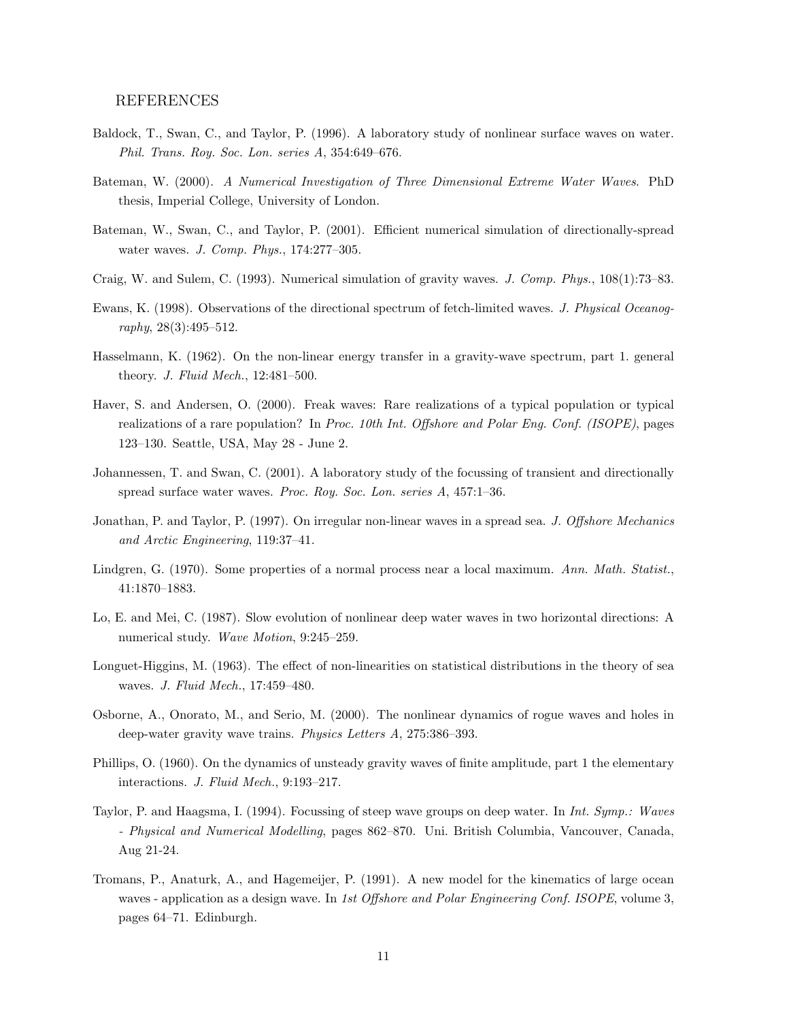# REFERENCES

- Baldock, T., Swan, C., and Taylor, P. (1996). A laboratory study of nonlinear surface waves on water. Phil. Trans. Roy. Soc. Lon. series A, 354:649–676.
- Bateman, W. (2000). A Numerical Investigation of Three Dimensional Extreme Water Waves. PhD thesis, Imperial College, University of London.
- Bateman, W., Swan, C., and Taylor, P. (2001). Efficient numerical simulation of directionally-spread water waves. J. Comp. Phys., 174:277–305.
- Craig, W. and Sulem, C. (1993). Numerical simulation of gravity waves. J. Comp. Phys., 108(1):73–83.
- Ewans, K. (1998). Observations of the directional spectrum of fetch-limited waves. J. Physical Oceanography, 28(3):495–512.
- Hasselmann, K. (1962). On the non-linear energy transfer in a gravity-wave spectrum, part 1. general theory. J. Fluid Mech., 12:481–500.
- Haver, S. and Andersen, O. (2000). Freak waves: Rare realizations of a typical population or typical realizations of a rare population? In Proc. 10th Int. Offshore and Polar Eng. Conf. (ISOPE), pages 123–130. Seattle, USA, May 28 - June 2.
- Johannessen, T. and Swan, C. (2001). A laboratory study of the focussing of transient and directionally spread surface water waves. Proc. Roy. Soc. Lon. series A, 457:1–36.
- Jonathan, P. and Taylor, P. (1997). On irregular non-linear waves in a spread sea. J. Offshore Mechanics and Arctic Engineering, 119:37–41.
- Lindgren, G. (1970). Some properties of a normal process near a local maximum. Ann. Math. Statist., 41:1870–1883.
- Lo, E. and Mei, C. (1987). Slow evolution of nonlinear deep water waves in two horizontal directions: A numerical study. Wave Motion, 9:245–259.
- Longuet-Higgins, M. (1963). The effect of non-linearities on statistical distributions in the theory of sea waves. J. Fluid Mech., 17:459–480.
- Osborne, A., Onorato, M., and Serio, M. (2000). The nonlinear dynamics of rogue waves and holes in deep-water gravity wave trains. Physics Letters A, 275:386–393.
- Phillips, O. (1960). On the dynamics of unsteady gravity waves of finite amplitude, part 1 the elementary interactions. J. Fluid Mech., 9:193–217.
- Taylor, P. and Haagsma, I. (1994). Focussing of steep wave groups on deep water. In Int. Symp.: Waves - Physical and Numerical Modelling, pages 862–870. Uni. British Columbia, Vancouver, Canada, Aug 21-24.
- Tromans, P., Anaturk, A., and Hagemeijer, P. (1991). A new model for the kinematics of large ocean waves - application as a design wave. In 1st Offshore and Polar Engineering Conf. ISOPE, volume 3, pages 64–71. Edinburgh.